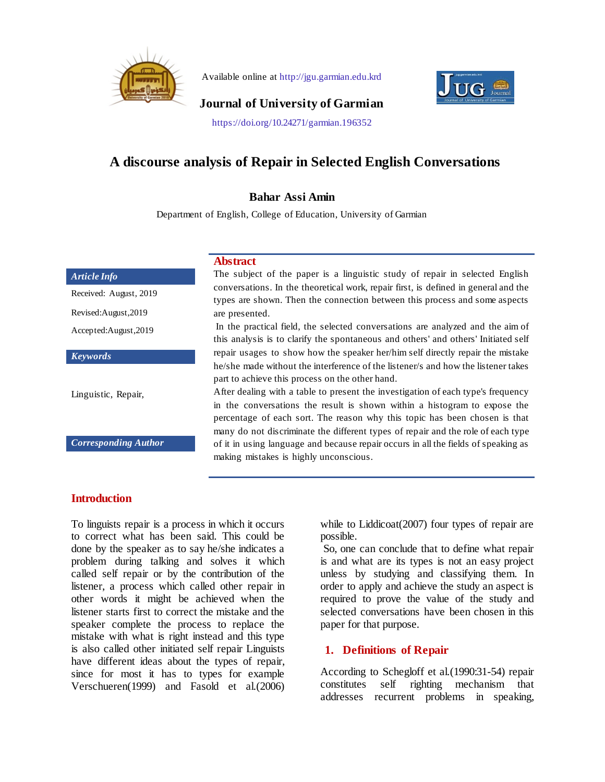

Available online at http://jgu.garmian.edu.krd



**Journal of University of Garmian**

https://doi.org/10.24271/garmian.196352

# **A discourse analysis of Repair in Selected English Conversations**

#### **Bahar Assi Amin**

Department of English, College of Education, University of Garmian

#### *Article Info*

Received: August, 2019

Revised:August,2019

Accepted:August,2019

*Keywords*

Linguistic, Repair,

*Corresponding Author*

### **Abstract**

The subject of the paper is a linguistic study of repair in selected English conversations. In the theoretical work, repair first, is defined in general and the types are shown. Then the connection between this process and some aspects are presented.

In the practical field, the selected conversations are analyzed and the aim of this analysis is to clarify the spontaneous and others' and others' Initiated self repair usages to show how the speaker her/him self directly repair the mistake he/she made without the interference of the listener/s and how the listener takes part to achieve this process on the other hand.

After dealing with a table to present the investigation of each type's frequency in the conversations the result is shown within a histogram to expose the percentage of each sort. The reason why this topic has been chosen is that many do not discriminate the different types of repair and the role of each type of it in using language and because repair occurs in all the fields of speaking as making mistakes is highly unconscious.

# **Introduction**

To linguists repair is a process in which it occurs to correct what has been said. This could be done by the speaker as to say he/she indicates a problem during talking and solves it which called self repair or by the contribution of the listener, a process which called other repair in other words it might be achieved when the listener starts first to correct the mistake and the speaker complete the process to replace the mistake with what is right instead and this type is also called other initiated self repair Linguists have different ideas about the types of repair, since for most it has to types for example Verschueren(1999) and Fasold et al.(2006) while to Liddicoat (2007) four types of repair are possible.

So, one can conclude that to define what repair is and what are its types is not an easy project unless by studying and classifying them. In order to apply and achieve the study an aspect is required to prove the value of the study and selected conversations have been chosen in this paper for that purpose.

# **1. Definitions of Repair**

According to Schegloff et al.(1990:31-54) repair constitutes self righting mechanism that addresses recurrent problems in speaking,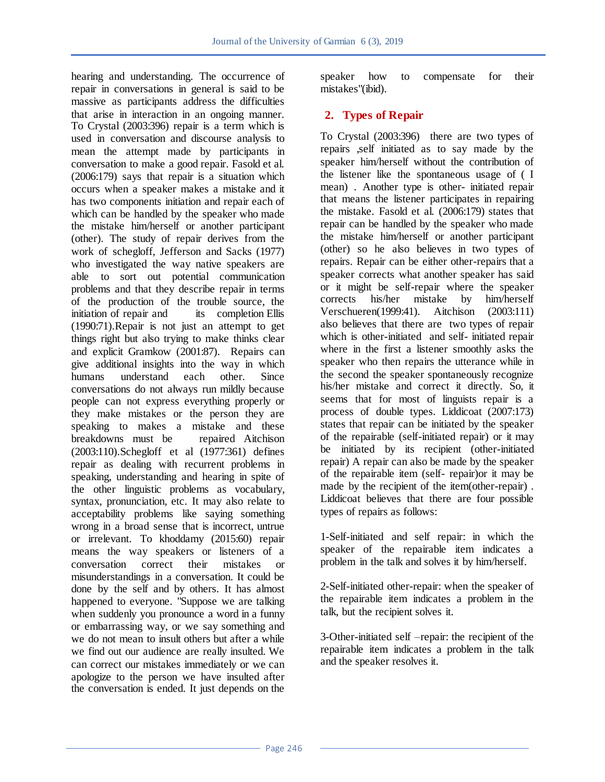hearing and understanding. The occurrence of repair in conversations in general is said to be massive as participants address the difficulties that arise in interaction in an ongoing manner. To Crystal (2003:396) repair is a term which is used in conversation and discourse analysis to mean the attempt made by participants in conversation to make a good repair. Fasold et al. (2006:179) says that repair is a situation which occurs when a speaker makes a mistake and it has two components initiation and repair each of which can be handled by the speaker who made the mistake him/herself or another participant (other). The study of repair derives from the work of schegloff, Jefferson and Sacks (1977) who investigated the way native speakers are able to sort out potential communication problems and that they describe repair in terms of the production of the trouble source, the initiation of repair and its completion Ellis (1990:71).Repair is not just an attempt to get things right but also trying to make thinks clear and explicit Gramkow (2001:87). Repairs can give additional insights into the way in which humans understand each other. Since conversations do not always run mildly because people can not express everything properly or they make mistakes or the person they are speaking to makes a mistake and these breakdowns must be repaired Aitchison (2003:110).Schegloff et al (1977:361) defines repair as dealing with recurrent problems in speaking, understanding and hearing in spite of the other linguistic problems as vocabulary, syntax, pronunciation, etc. It may also relate to acceptability problems like saying something wrong in a broad sense that is incorrect, untrue or irrelevant. To khoddamy (2015:60) repair means the way speakers or listeners of a conversation correct their mistakes or misunderstandings in a conversation. It could be done by the self and by others. It has almost happened to everyone. "Suppose we are talking when suddenly you pronounce a word in a funny or embarrassing way, or we say something and we do not mean to insult others but after a while we find out our audience are really insulted. We can correct our mistakes immediately or we can apologize to the person we have insulted after the conversation is ended. It just depends on the

speaker how to compensate for their mistakes"(ibid).

# **2. Types of Repair**

To Crystal (2003:396) there are two types of repairs ,self initiated as to say made by the speaker him/herself without the contribution of the listener like the spontaneous usage of ( I mean) . Another type is other- initiated repair that means the listener participates in repairing the mistake. Fasold et al. (2006:179) states that repair can be handled by the speaker who made the mistake him/herself or another participant (other) so he also believes in two types of repairs. Repair can be either other-repairs that a speaker corrects what another speaker has said or it might be self-repair where the speaker<br>corrects his/her mistake by him/herself corrects his/her mistake Verschueren(1999:41). Aitchison (2003:111) also believes that there are two types of repair which is other-initiated and self- initiated repair where in the first a listener smoothly asks the speaker who then repairs the utterance while in the second the speaker spontaneously recognize his/her mistake and correct it directly. So, it seems that for most of linguists repair is a process of double types. Liddicoat (2007:173) states that repair can be initiated by the speaker of the repairable (self-initiated repair) or it may be initiated by its recipient (other-initiated repair) A repair can also be made by the speaker of the repairable item (self- repair)or it may be made by the recipient of the item(other-repair) . Liddicoat believes that there are four possible types of repairs as follows:

1-Self-initiated and self repair: in which the speaker of the repairable item indicates a problem in the talk and solves it by him/herself.

2-Self-initiated other-repair: when the speaker of the repairable item indicates a problem in the talk, but the recipient solves it.

3-Other-initiated self –repair: the recipient of the repairable item indicates a problem in the talk and the speaker resolves it.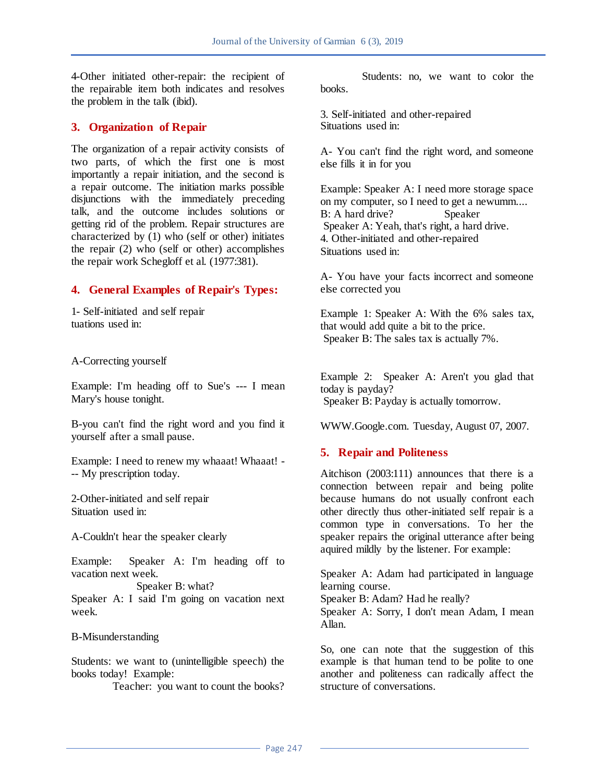4-Other initiated other-repair: the recipient of the repairable item both indicates and resolves the problem in the talk (ibid).

## **3. Organization of Repair**

The organization of a repair activity consists of two parts, of which the first one is most importantly a repair initiation, and the second is a repair outcome. The initiation marks possible disjunctions with the immediately preceding talk, and the outcome includes solutions or getting rid of the problem. Repair structures are characterized by  $(1)$  who (self or other) initiates the repair (2) who (self or other) accomplishes the repair work Schegloff et al. (1977:381).

# **4. General Examples of Repair's Types:**

1- Self-initiated and self repair tuations used in:

A-Correcting yourself

Example: I'm heading off to Sue's --- I mean Mary's house tonight.

B-you can't find the right word and you find it yourself after a small pause.

Example: I need to renew my whaaat! Whaaat! - -- My prescription today.

2-Other-initiated and self repair Situation used in:

A-Couldn't hear the speaker clearly

Example: Speaker A: I'm heading off to vacation next week.

 Speaker B: what? Speaker A: I said I'm going on vacation next week.

B-Misunderstanding

Students: we want to (unintelligible speech) the books today! Example:

Teacher: you want to count the books?

 Students: no, we want to color the books.

3. Self-initiated and other-repaired Situations used in:

A- You can't find the right word, and someone else fills it in for you

Example: Speaker A: I need more storage space on my computer, so I need to get a newumm.... B: A hard drive? Speaker Speaker A: Yeah, that's right, a hard drive. 4. Other-initiated and other-repaired Situations used in:

A- You have your facts incorrect and someone else corrected you

Example 1: Speaker A: With the 6% sales tax, that would add quite a bit to the price. Speaker B: The sales tax is actually 7%.

Example 2: Speaker A: Aren't you glad that today is payday? Speaker B: Payday is actually tomorrow.

WWW.Google.com. Tuesday, August 07, 2007.

# **5. Repair and Politeness**

Aitchison (2003:111) announces that there is a connection between repair and being polite because humans do not usually confront each other directly thus other-initiated self repair is a common type in conversations. To her the speaker repairs the original utterance after being aquired mildly by the listener. For example:

Speaker A: Adam had participated in language learning course.

Speaker B: Adam? Had he really?

Speaker A: Sorry, I don't mean Adam, I mean Allan.

So, one can note that the suggestion of this example is that human tend to be polite to one another and politeness can radically affect the structure of conversations.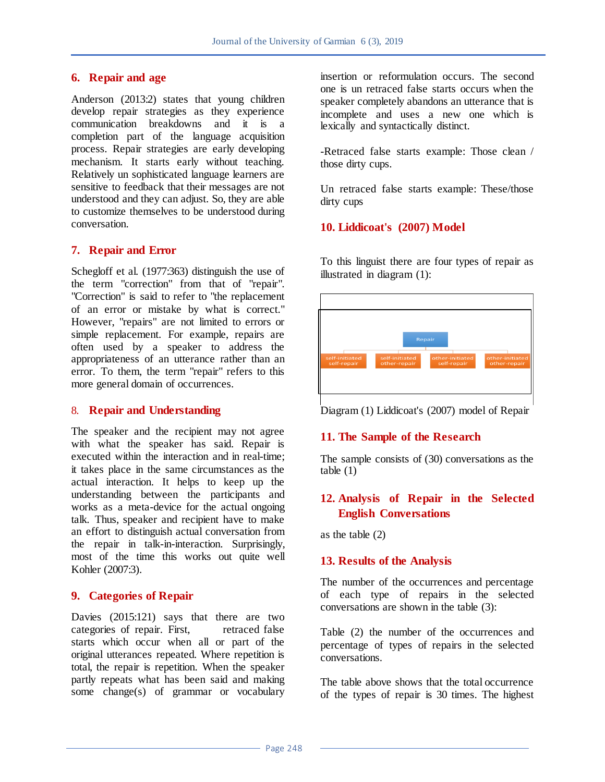## **6. Repair and age**

Anderson (2013:2) states that young children develop repair strategies as they experience communication breakdowns and it is a completion part of the language acquisition process. Repair strategies are early developing mechanism. It starts early without teaching. Relatively un sophisticated language learners are sensitive to feedback that their messages are not understood and they can adjust. So, they are able to customize themselves to be understood during conversation.

# **7. Repair and Error**

Schegloff et al. (1977:363) distinguish the use of the term "correction" from that of "repair". "Correction" is said to refer to "the replacement of an error or mistake by what is correct." However, "repairs" are not limited to errors or simple replacement. For example, repairs are often used by a speaker to address the appropriateness of an utterance rather than an error. To them, the term "repair" refers to this more general domain of occurrences.

### 8. **Repair and Understanding**

The speaker and the recipient may not agree with what the speaker has said. Repair is executed within the interaction and in real-time; it takes place in the same circumstances as the actual interaction. It helps to keep up the understanding between the participants and works as a meta-device for the actual ongoing talk. Thus, speaker and recipient have to make an effort to distinguish actual conversation from the repair in talk-in-interaction. Surprisingly, most of the time this works out quite well Kohler (2007:3).

### **9. Categories of Repair**

Davies (2015:121) says that there are two categories of repair. First, retraced false starts which occur when all or part of the original utterances repeated. Where repetition is total, the repair is repetition. When the speaker partly repeats what has been said and making some change(s) of grammar or vocabulary insertion or reformulation occurs. The second one is un retraced false starts occurs when the speaker completely abandons an utterance that is incomplete and uses a new one which is lexically and syntactically distinct.

-Retraced false starts example: Those clean / those dirty cups.

Un retraced false starts example: These/those dirty cups

### **10. Liddicoat's (2007) Model**

To this linguist there are four types of repair as illustrated in diagram (1):

| Repair                                                                                                                               |
|--------------------------------------------------------------------------------------------------------------------------------------|
| self-initiated<br>other-initiated<br>self-initiated<br>other-initiated<br>self-repair<br>self-repair<br>other-repair<br>other-repair |
|                                                                                                                                      |
|                                                                                                                                      |

Diagram (1) Liddicoat's (2007) model of Repair

### **11. The Sample of the Research**

The sample consists of (30) conversations as the table (1)

# **12. Analysis of Repair in the Selected English Conversations**

as the table (2)

### **13. Results of the Analysis**

The number of the occurrences and percentage of each type of repairs in the selected conversations are shown in the table (3):

Table (2) the number of the occurrences and percentage of types of repairs in the selected conversations.

The table above shows that the total occurrence of the types of repair is 30 times. The highest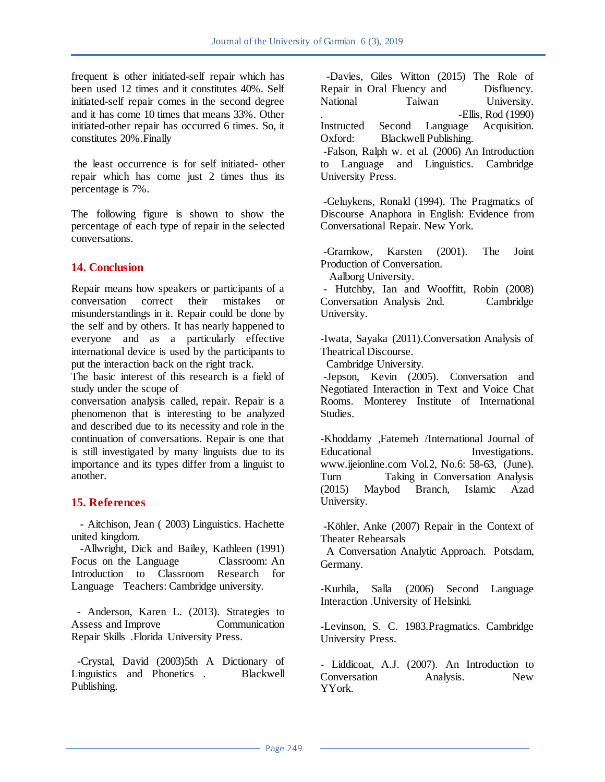frequent is other initiated-self repair which has been used 12 times and it constitutes 40%. Self initiated-self repair comes in the second degree and it has come 10 times that means 33%. Other initiated-other repair has occurred 6 times. So, it constitutes 20%.Finally

the least occurrence is for self initiated- other repair which has come just 2 times thus its percentage is 7%.

The following figure is shown to show the percentage of each type of repair in the selected conversations.

# **14. Conclusion**

Repair means how speakers or participants of a conversation correct their mistakes or misunderstandings in it. Repair could be done by the self and by others. It has nearly happened to everyone and as a particularly effective international device is used by the participants to put the interaction back on the right track.

The basic interest of this research is a field of study under the scope of

conversation analysis called, repair. Repair is a phenomenon that is interesting to be analyzed and described due to its necessity and role in the continuation of conversations. Repair is one that is still investigated by many linguists due to its importance and its types differ from a linguist to another.

# **15. References**

 - Aitchison, Jean ( 2003) Linguistics. Hachette united kingdom.

 -Allwright, Dick and Bailey, Kathleen (1991) Focus on the Language Classroom: An Introduction to Classroom Research for Language Teachers: Cambridge university.

 - Anderson, Karen L. (2013). Strategies to Assess and Improve Communication Repair Skills .Florida University Press.

 -Crystal, David (2003)5th A Dictionary of Linguistics and Phonetics . Blackwell Publishing.

 -Davies, Giles Witton (2015) The Role of Repair in Oral Fluency and Disfluency. National Taiwan University. .<br>Instructed Second Language Acquisition. Language Oxford: Blackwell Publishing.

-Falson, Ralph w. et al. (2006) An Introduction to Language and Linguistics. Cambridge University Press.

-Geluykens, Ronald (1994). The Pragmatics of Discourse Anaphora in English: Evidence from Conversational Repair. New York.

-Gramkow, Karsten (2001). The Joint Production of Conversation.

Aalborg University.

- Hutchby, Ian and Wooffitt, Robin (2008) Conversation Analysis 2nd. Cambridge University.

-Iwata, Sayaka (2011).Conversation Analysis of Theatrical Discourse.

Cambridge University.

-Jepson, Kevin (2005). Conversation and Negotiated Interaction in Text and Voice Chat Rooms. Monterey Institute of International Studies.

-Khoddamy ,Fatemeh /International Journal of Educational Investigations. www.ijeionline.com Vol.2, No.6: 58-63, (June). Turn Taking in Conversation Analysis (2015) Maybod Branch, Islamic Azad University.

-Köhler, Anke (2007) Repair in the Context of Theater Rehearsals

 A Conversation Analytic Approach. Potsdam, Germany.

-Kurhila, Salla (2006) Second Language Interaction .University of Helsinki.

-Levinson, S. C. 1983.Pragmatics. Cambridge University Press.

- Liddicoat, A.J. (2007). An Introduction to Conversation Analysis. New YYork.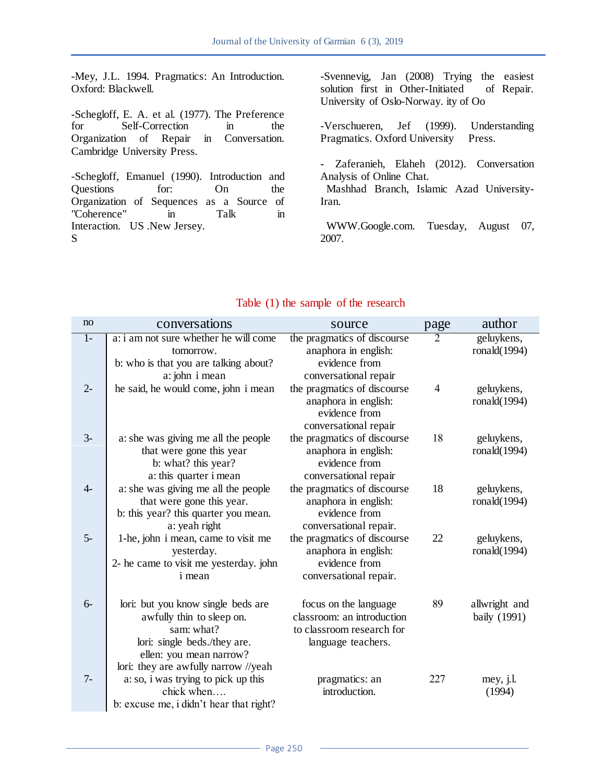-Mey, J.L. 1994. Pragmatics: An Introduction. Oxford: Blackwell.

-Schegloff, E. A. et al. (1977). The Preference for Self-Correction in the Organization of Repair in Conversation. Cambridge University Press.

-Schegloff, Emanuel (1990). Introduction and Questions for: On the Organization of Sequences as a Source of "Coherence" in Talk in Interaction. US .New Jersey. S

-Svennevig, Jan (2008) Trying the easiest solution first in Other-Initiated of Repair. University of Oslo-Norway. ity of Oo

-Verschueren, Jef (1999). Understanding Pragmatics. Oxford University Press.

- Zaferanieh, Elaheh (2012). Conversation Analysis of Online Chat. Mashhad Branch, Islamic Azad University-Iran.

 WWW.Google.com. Tuesday, August 07, 2007.

| no             | conversations                                                                                                                            | source                                                                                                                 | page | author                        |
|----------------|------------------------------------------------------------------------------------------------------------------------------------------|------------------------------------------------------------------------------------------------------------------------|------|-------------------------------|
| $\overline{1}$ | a: i am not sure whether he will come<br>tomorrow.<br>b: who is that you are talking about?                                              | the pragmatics of discourse<br>anaphora in english:<br>evidence from                                                   | 2    | geluykens,<br>ronald $(1994)$ |
| $2 -$          | a: john i mean<br>he said, he would come, john i mean                                                                                    | conversational repair<br>the pragmatics of discourse<br>anaphora in english:<br>evidence from<br>conversational repair | 4    | geluykens,<br>ronald $(1994)$ |
| $3-$           | a: she was giving me all the people<br>that were gone this year<br>b: what? this year?<br>a: this quarter i mean                         | the pragmatics of discourse<br>anaphora in english:<br>evidence from<br>conversational repair                          | 18   | geluykens,<br>ronald $(1994)$ |
| $4-$           | a: she was giving me all the people<br>that were gone this year.<br>b: this year? this quarter you mean.<br>a: yeah right                | the pragmatics of discourse<br>anaphora in english:<br>evidence from<br>conversational repair.                         | 18   | geluykens,<br>ronald $(1994)$ |
| $5-$           | 1-he, john i mean, came to visit me<br>yesterday.<br>2- he came to visit me yesterday. john<br>i mean                                    | the pragmatics of discourse<br>anaphora in english:<br>evidence from<br>conversational repair.                         | 22   | geluykens,<br>ronald(1994)    |
| $6-$           | lori: but you know single beds are<br>awfully thin to sleep on.<br>sam: what?<br>lori: single beds./they are.<br>ellen: you mean narrow? | focus on the language<br>classroom: an introduction<br>to classroom research for<br>language teachers.                 | 89   | allwright and<br>baily (1991) |
| $7-$           | lori: they are awfully narrow //yeah<br>a: so, i was trying to pick up this<br>chick when<br>b: excuse me, i didn't hear that right?     | pragmatics: an<br>introduction.                                                                                        | 227  | mey, j.l.<br>(1994)           |

# Table (1) the sample of the research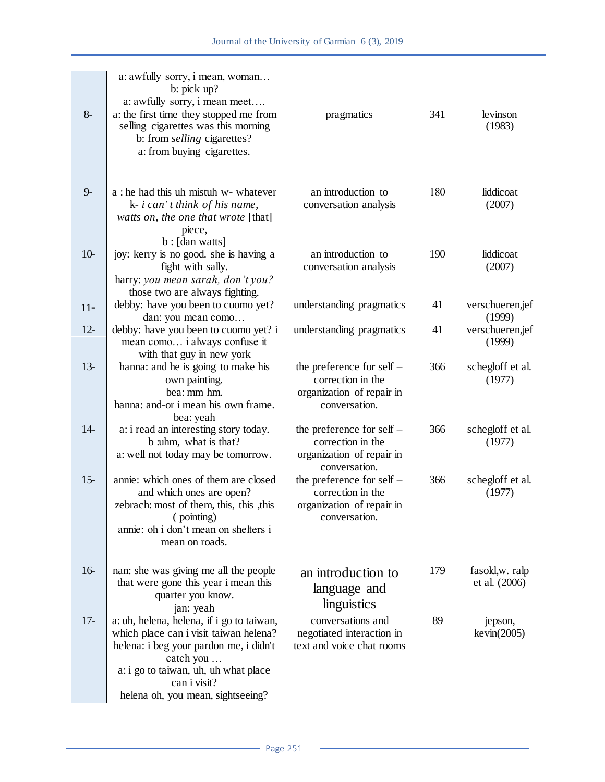| $8-$   | a: awfully sorry, i mean, woman<br>b: $pick up?$<br>a: awfully sorry, i mean meet<br>a: the first time they stopped me from<br>selling cigarettes was this morning<br>b: from <i>selling</i> cigarettes?<br>a: from buying cigarettes.  | pragmatics                                                                                     | 341 | levinson<br>(1983)               |
|--------|-----------------------------------------------------------------------------------------------------------------------------------------------------------------------------------------------------------------------------------------|------------------------------------------------------------------------------------------------|-----|----------------------------------|
| $9-$   | a : he had this uh mistuh w- whatever<br>$k - i can't think of his name,$<br>watts on, the one that wrote [that]<br>piece,                                                                                                              | an introduction to<br>conversation analysis                                                    | 180 | liddicoat<br>(2007)              |
| $10-$  | $b:$ [dan watts]<br>joy: kerry is no good. she is having a<br>fight with sally.<br>harry: you mean sarah, don't you?<br>those two are always fighting.                                                                                  | an introduction to<br>conversation analysis                                                    | 190 | liddicoat<br>(2007)              |
| $11-$  | debby: have you been to cuomo yet?<br>dan: you mean como                                                                                                                                                                                | understanding pragmatics                                                                       | 41  | verschueren,jef<br>(1999)        |
| $12 -$ | debby: have you been to cuomo yet? i<br>mean como i always confuse it<br>with that guy in new york                                                                                                                                      | understanding pragmatics                                                                       | 41  | verschueren,jef<br>(1999)        |
| $13 -$ | hanna: and he is going to make his<br>own painting.<br>bea: mm hm.<br>hanna: and-or i mean his own frame.                                                                                                                               | the preference for self $-$<br>correction in the<br>organization of repair in<br>conversation. | 366 | schegloff et al.<br>(1977)       |
| $14-$  | bea: yeah<br>a: i read an interesting story today.<br>b :uhm, what is that?<br>a: well not today may be tomorrow.                                                                                                                       | the preference for self $-$<br>correction in the<br>organization of repair in<br>conversation. | 366 | schegloff et al.<br>(1977)       |
| $15 -$ | annie: which ones of them are closed<br>and which ones are open?<br>zebrach: most of them, this, this , this<br>(pointing)<br>annie: oh i don't mean on shelters i<br>mean on roads.                                                    | the preference for self -<br>correction in the<br>organization of repair in<br>conversation.   | 366 | schegloff et al.<br>(1977)       |
| $16-$  | nan: she was giving me all the people<br>that were gone this year i mean this<br>quarter you know.<br>jan: yeah                                                                                                                         | an introduction to<br>language and<br>linguistics                                              | 179 | fasold, w. ralp<br>et al. (2006) |
| $17-$  | a: uh, helena, helena, if i go to taiwan,<br>which place can i visit taiwan helena?<br>helena: i beg your pardon me, i didn't<br>catch you<br>a: i go to taiwan, uh, uh what place<br>can i visit?<br>helena oh, you mean, sightseeing? | conversations and<br>negotiated interaction in<br>text and voice chat rooms                    | 89  | jepson,<br>kevin(2005)           |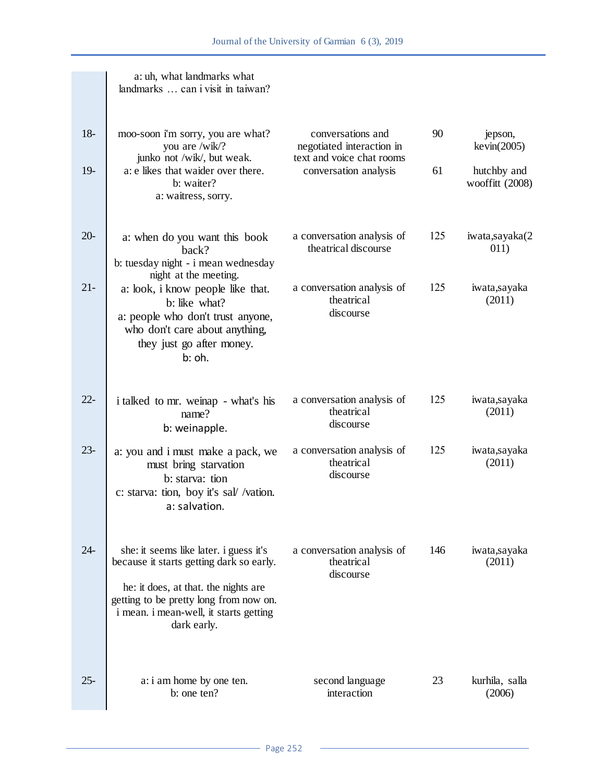|        | a: uh, what landmarks what<br>landmarks  can i visit in taiwan?                                                                                                                                                               |                                                                             |     |                                |
|--------|-------------------------------------------------------------------------------------------------------------------------------------------------------------------------------------------------------------------------------|-----------------------------------------------------------------------------|-----|--------------------------------|
| $18-$  | moo-soon i'm sorry, you are what?<br>you are /wik/?<br>junko not /wik/, but weak.                                                                                                                                             | conversations and<br>negotiated interaction in<br>text and voice chat rooms | 90  | jepson,<br>kevin(2005)         |
| $19-$  | a: e likes that waider over there.<br>b: waiter?<br>a: waitress, sorry.                                                                                                                                                       | conversation analysis                                                       | 61  | hutchby and<br>wooffitt (2008) |
| $20 -$ | a: when do you want this book<br>back?<br>b: tuesday night - i mean wednesday<br>night at the meeting.                                                                                                                        | a conversation analysis of<br>theatrical discourse                          | 125 | iwata,sayaka(2<br>011)         |
| $21 -$ | a: look, i know people like that.<br>b: like what?<br>a: people who don't trust anyone,<br>who don't care about anything,<br>they just go after money.<br>b: oh.                                                              | a conversation analysis of<br>theatrical<br>discourse                       | 125 | iwata,sayaka<br>(2011)         |
| $22 -$ | i talked to mr. weinap - what's his<br>name?<br>b: weinapple.                                                                                                                                                                 | a conversation analysis of<br>theatrical<br>discourse                       | 125 | iwata,sayaka<br>(2011)         |
| $23 -$ | a: you and i must make a pack, we<br>must bring starvation<br>b: starva: tion<br>c: starva: tion, boy it's sal/ /vation.<br>a: salvation.                                                                                     | a conversation analysis of<br>theatrical<br>discourse                       | 125 | iwata,sayaka<br>(2011)         |
| $24 -$ | she: it seems like later. i guess it's<br>because it starts getting dark so early.<br>he: it does, at that. the nights are<br>getting to be pretty long from now on.<br>i mean. i mean-well, it starts getting<br>dark early. | a conversation analysis of<br>theatrical<br>discourse                       | 146 | iwata,sayaka<br>(2011)         |
| $25 -$ | a: i am home by one ten.<br>b: one ten?                                                                                                                                                                                       | second language<br>interaction                                              | 23  | kurhila, salla<br>(2006)       |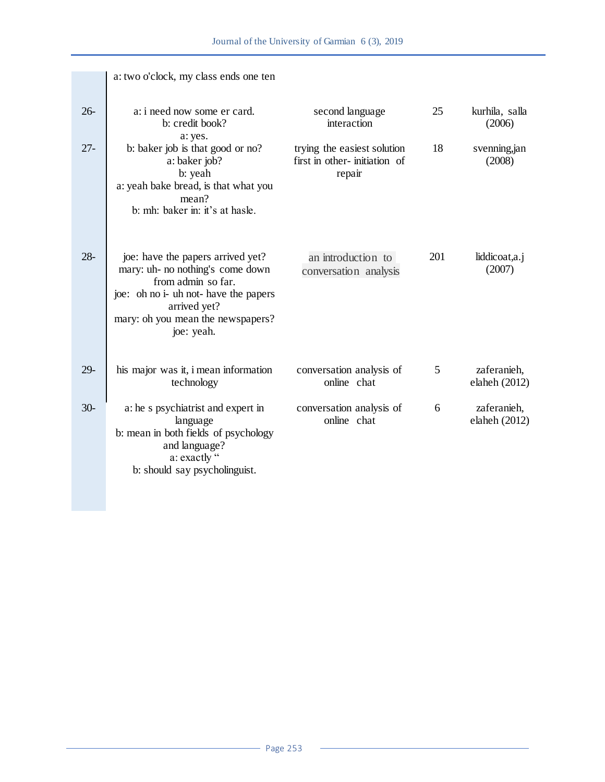|        | a: two o'clock, my class ends one ten                                                                                                                                                                   |                                                                       |     |                              |
|--------|---------------------------------------------------------------------------------------------------------------------------------------------------------------------------------------------------------|-----------------------------------------------------------------------|-----|------------------------------|
| $26 -$ | a: i need now some er card.<br>b: credit book?<br>a: yes.                                                                                                                                               | second language<br>interaction                                        | 25  | kurhila, salla<br>(2006)     |
| $27 -$ | b: baker job is that good or no?<br>a: baker job?<br>b: yeah<br>a: yeah bake bread, is that what you<br>mean?<br>b: mh: baker in: it's at hasle.                                                        | trying the easiest solution<br>first in other-initiation of<br>repair | 18  | svenning, jan<br>(2008)      |
| $28 -$ | joe: have the papers arrived yet?<br>mary: uh- no nothing's come down<br>from admin so far.<br>joe: oh no i- uh not- have the papers<br>arrived yet?<br>mary: oh you mean the newspapers?<br>joe: yeah. | an introduction to<br>conversation analysis                           | 201 | liddicoat,a.j<br>(2007)      |
| $29 -$ | his major was it, i mean information<br>technology                                                                                                                                                      | conversation analysis of<br>online chat                               | 5   | zaferanieh,<br>elaheh (2012) |
| $30-$  | a: he s psychiatrist and expert in<br>language<br>b: mean in both fields of psychology<br>and language?<br>a: exactly "<br>b: should say psycholinguist.                                                | conversation analysis of<br>online chat                               | 6   | zaferanieh,<br>elaheh (2012) |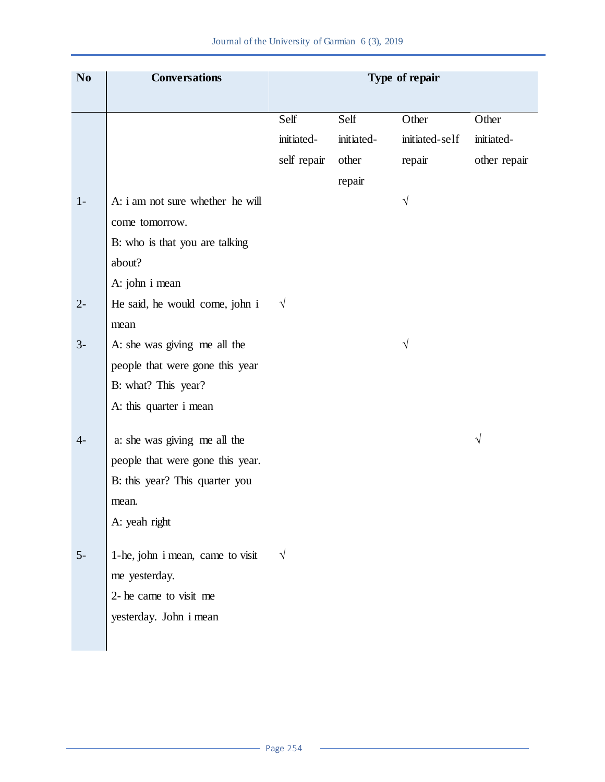| N <sub>0</sub> | <b>Conversations</b>             | Type of repair |            |                |              |
|----------------|----------------------------------|----------------|------------|----------------|--------------|
|                |                                  | Self           | Self       | Other          | Other        |
|                |                                  | initiated-     | initiated- | initiated-self | initiated-   |
|                |                                  | self repair    | other      | repair         | other repair |
|                |                                  |                | repair     |                |              |
| $1 -$          | A: i am not sure whether he will |                |            | $\sqrt{}$      |              |
|                | come tomorrow.                   |                |            |                |              |
|                | B: who is that you are talking   |                |            |                |              |
|                | about?                           |                |            |                |              |
|                | A: john i mean                   |                |            |                |              |
| $2-$           | He said, he would come, john i   | $\sqrt{}$      |            |                |              |
|                | mean                             |                |            |                |              |
| $3-$           | A: she was giving me all the     |                |            | V              |              |
|                | people that were gone this year  |                |            |                |              |
|                | B: what? This year?              |                |            |                |              |
|                | A: this quarter i mean           |                |            |                |              |
| $4-$           | a: she was giving me all the     |                |            |                | $\sqrt{}$    |
|                | people that were gone this year. |                |            |                |              |
|                | B: this year? This quarter you   |                |            |                |              |
|                | mean.                            |                |            |                |              |
|                | A: yeah right                    |                |            |                |              |
|                |                                  |                |            |                |              |
| $5-$           | 1-he, john i mean, came to visit | $\sqrt{}$      |            |                |              |
|                | me yesterday.                    |                |            |                |              |
|                | 2- he came to visit me           |                |            |                |              |
|                | yesterday. John i mean           |                |            |                |              |
|                |                                  |                |            |                |              |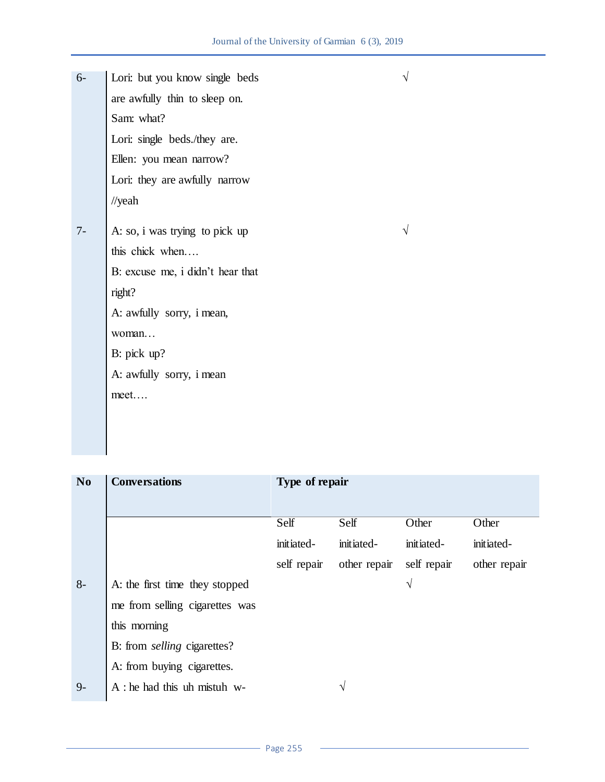Lori: but you know single beds **√**  are awfully thin to sleep on. Sam: what? Lori: single beds./they are. Ellen: you mean narrow? Lori: they are awfully narrow //yeah 6- A: so, i was trying to pick up  $\sqrt{ }$ this chick when…. B: excuse me, i didn't hear that right? A: awfully sorry, i mean, woman… B: pick up? A: awfully sorry, i mean meet…. 7-

| N <sub>0</sub> | <b>Conversations</b>               | Type of repair |              |             |              |
|----------------|------------------------------------|----------------|--------------|-------------|--------------|
|                |                                    | Self           | Self         | Other       | Other        |
|                |                                    | initiated-     | initiated-   | initiated-  | initiated-   |
|                |                                    | self repair    | other repair | self repair | other repair |
| $8-$           | A: the first time they stopped     |                |              | V           |              |
|                | me from selling cigarettes was     |                |              |             |              |
|                | this morning                       |                |              |             |              |
|                | B: from <i>selling</i> cigarettes? |                |              |             |              |
|                | A: from buying cigarettes.         |                |              |             |              |
| $9-$           | $A:$ he had this uh mistuh w-      |                | V            |             |              |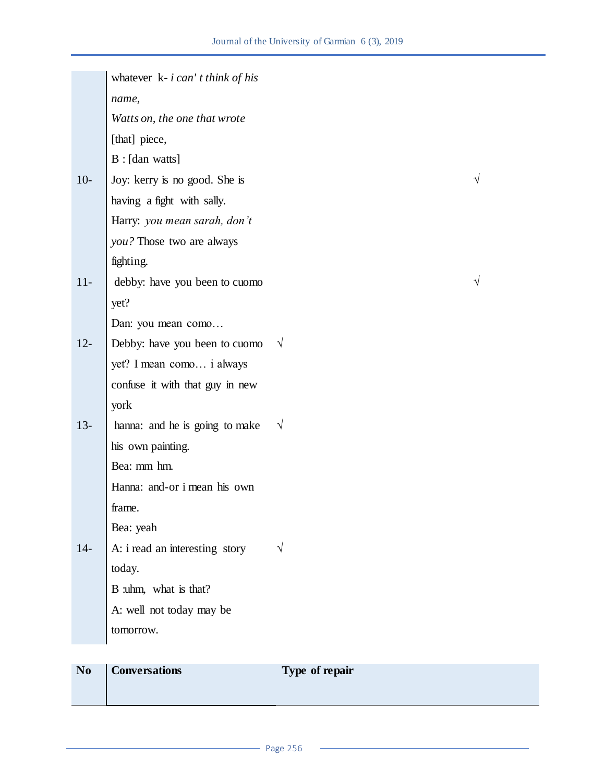|                | whatever $k - i can't think of his$ |                |  |
|----------------|-------------------------------------|----------------|--|
|                | name,                               |                |  |
|                | Watts on, the one that wrote        |                |  |
|                | [that] piece,                       |                |  |
|                | B: [dan watts]                      |                |  |
| $10-$          | Joy: kerry is no good. She is       |                |  |
|                | having a fight with sally.          |                |  |
|                | Harry: you mean sarah, don't        |                |  |
|                | you? Those two are always           |                |  |
|                | fighting.                           |                |  |
| $11-$          | debby: have you been to cuomo       |                |  |
|                | yet?                                |                |  |
|                | Dan: you mean como                  |                |  |
| $12 -$         | Debby: have you been to cuomo       | $\sqrt{}$      |  |
|                | yet? I mean como i always           |                |  |
|                | confuse it with that guy in new     |                |  |
|                | york                                |                |  |
| $13 -$         | hanna: and he is going to make      | $\sqrt{ }$     |  |
|                | his own painting.                   |                |  |
|                | Bea: mm hm.                         |                |  |
|                | Hanna: and-or i mean his own        |                |  |
|                | frame                               |                |  |
|                | Bea: yeah                           |                |  |
| $14-$          | A: i read an interesting story      | $\sqrt{ }$     |  |
|                | today.                              |                |  |
|                | B :uhm, what is that?               |                |  |
|                | A: well not today may be            |                |  |
|                | tomorrow.                           |                |  |
|                |                                     |                |  |
| N <sub>0</sub> | <b>Conversations</b>                | Type of repair |  |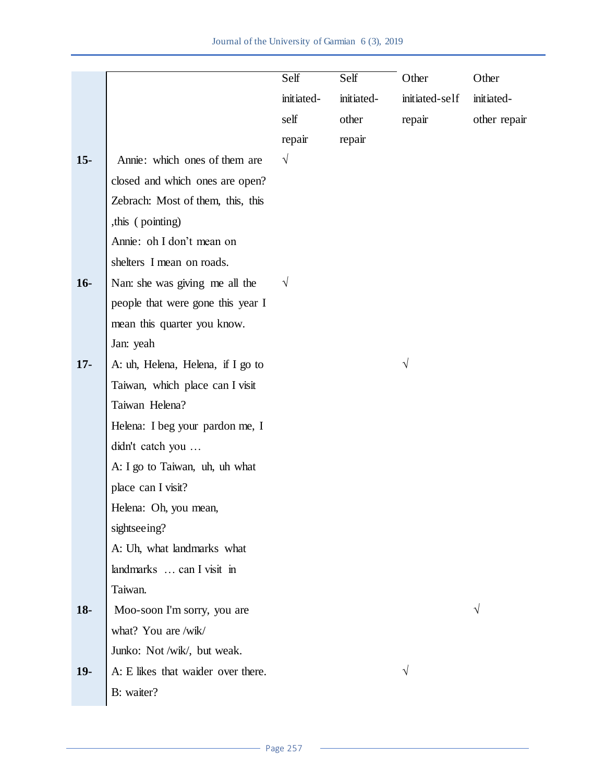|        |                                    | Self       | Self       | Other          | Other        |
|--------|------------------------------------|------------|------------|----------------|--------------|
|        |                                    | initiated- | initiated- | initiated-self | initiated-   |
|        |                                    | self       | other      | repair         | other repair |
|        |                                    | repair     | repair     |                |              |
| $15-$  | Annie: which ones of them are      | $\sqrt{}$  |            |                |              |
|        | closed and which ones are open?    |            |            |                |              |
|        | Zebrach: Most of them, this, this  |            |            |                |              |
|        | , this (pointing)                  |            |            |                |              |
|        | Annie: oh I don't mean on          |            |            |                |              |
|        | shelters I mean on roads.          |            |            |                |              |
| $16-$  | Nan: she was giving me all the     | $\sqrt{}$  |            |                |              |
|        | people that were gone this year I  |            |            |                |              |
|        | mean this quarter you know.        |            |            |                |              |
|        | Jan: yeah                          |            |            |                |              |
| $17 -$ | A: uh, Helena, Helena, if I go to  |            |            | V              |              |
|        | Taiwan, which place can I visit    |            |            |                |              |
|        | Taiwan Helena?                     |            |            |                |              |
|        | Helena: I beg your pardon me, I    |            |            |                |              |
|        | didn't catch you                   |            |            |                |              |
|        | A: I go to Taiwan, uh, uh what     |            |            |                |              |
|        | place can I visit?                 |            |            |                |              |
|        | Helena: Oh, you mean,              |            |            |                |              |
|        | sightseeing?                       |            |            |                |              |
|        | A: Uh, what landmarks what         |            |            |                |              |
|        | landmarks  can I visit in          |            |            |                |              |
|        | Taiwan.                            |            |            |                |              |
| $18-$  | Moo-soon I'm sorry, you are        |            |            |                | V            |
|        | what? You are /wik/                |            |            |                |              |
|        | Junko: Not /wik/, but weak.        |            |            |                |              |
| $19-$  | A: E likes that waider over there. |            |            |                |              |
|        | B: waiter?                         |            |            |                |              |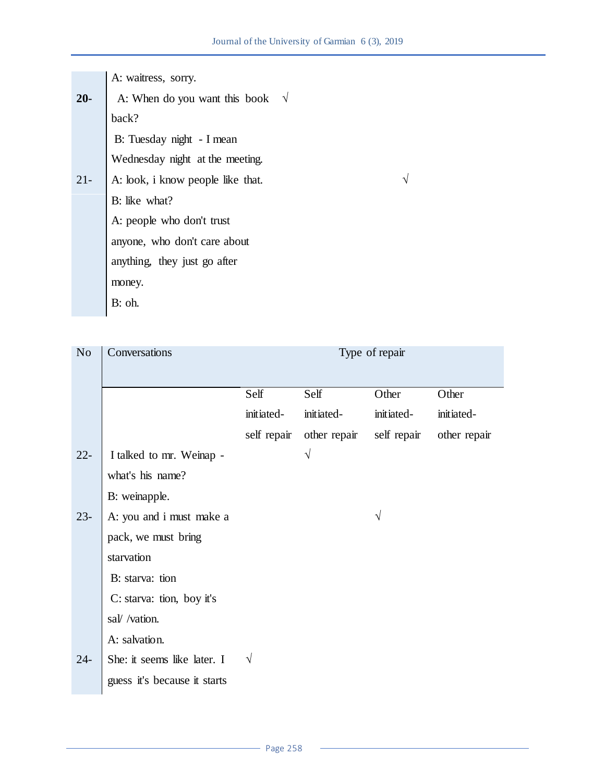A: waitress, sorry.

A: When do you want this book  $\sqrt{}$ back? B: Tuesday night - I mean Wednesday night at the meeting. **20-** A: look, i know people like that.  $\sqrt{ }$ B: like what? A: people who don't trust anyone, who don't care about anything, they just go after money. B: oh. 21-

| N <sub>o</sub> | Conversations                | Type of repair |              |             |              |
|----------------|------------------------------|----------------|--------------|-------------|--------------|
|                |                              | Self           | Self         | Other       | Other        |
|                |                              | initiated-     | initiated-   | initiated-  | initiated-   |
|                |                              | self repair    | other repair | self repair | other repair |
| $22 -$         | I talked to mr. Weinap -     |                | $\sqrt{ }$   |             |              |
|                | what's his name?             |                |              |             |              |
|                | B: weinapple.                |                |              |             |              |
| $23 -$         | A: you and i must make a     |                |              | V           |              |
|                | pack, we must bring          |                |              |             |              |
|                | starvation                   |                |              |             |              |
|                | B: starva: tion              |                |              |             |              |
|                | C: starva: tion, boy it's    |                |              |             |              |
|                | sal/ /vation.                |                |              |             |              |
|                | A: salvation.                |                |              |             |              |
| $24 -$         | She: it seems like later. I  | $\sqrt{}$      |              |             |              |
|                | guess it's because it starts |                |              |             |              |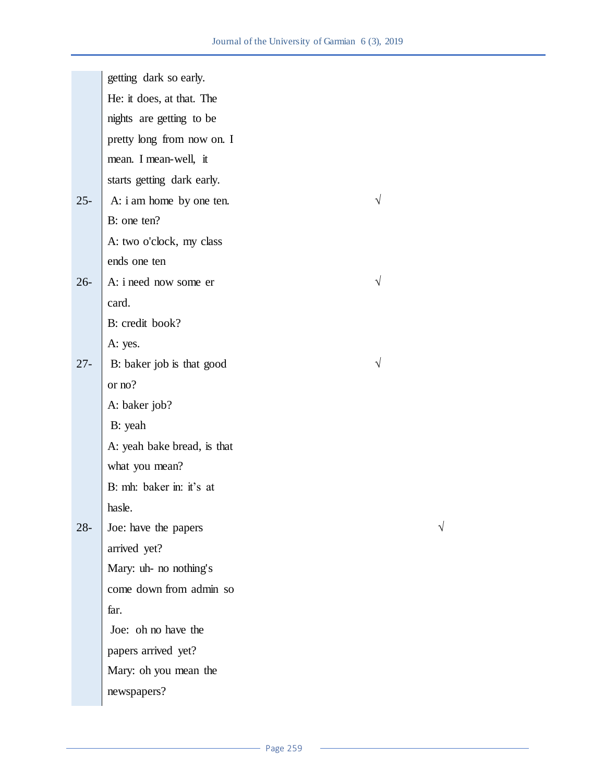|        | getting dark so early.      |           |  |
|--------|-----------------------------|-----------|--|
|        | He: it does, at that. The   |           |  |
|        | nights are getting to be    |           |  |
|        | pretty long from now on. I  |           |  |
|        | mean. I mean-well, it       |           |  |
|        | starts getting dark early.  |           |  |
| $25 -$ | A: i am home by one ten.    | $\sqrt{}$ |  |
|        | B: one ten?                 |           |  |
|        | A: two o'clock, my class    |           |  |
|        | ends one ten                |           |  |
| $26 -$ | A: i need now some er       | $\sqrt{}$ |  |
|        | card.                       |           |  |
|        | B: credit book?             |           |  |
|        | A: yes.                     |           |  |
| $27 -$ | B: baker job is that good   |           |  |
|        | or no?                      |           |  |
|        | A: baker job?               |           |  |
|        | B: yeah                     |           |  |
|        | A: yeah bake bread, is that |           |  |
|        | what you mean?              |           |  |
|        | B: mh: baker in: it's at    |           |  |
|        | hasle.                      |           |  |
| $28 -$ | Joe: have the papers        |           |  |
|        | arrived yet?                |           |  |
|        | Mary: uh- no nothing's      |           |  |
|        | come down from admin so     |           |  |
|        | far.                        |           |  |
|        | Joe: oh no have the         |           |  |
|        | papers arrived yet?         |           |  |
|        | Mary: oh you mean the       |           |  |
|        | newspapers?                 |           |  |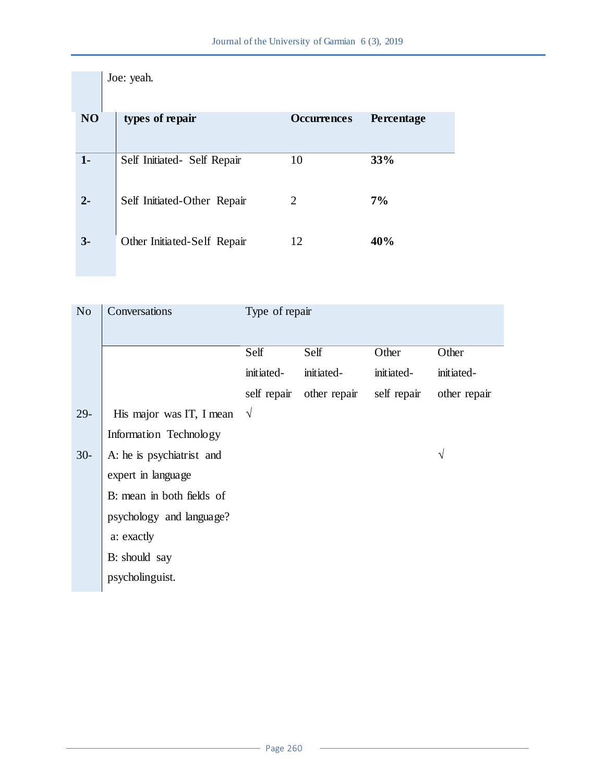|                | Joe: yeah.                  |                    |            |
|----------------|-----------------------------|--------------------|------------|
| N <sub>O</sub> | types of repair             | <b>Occurrences</b> | Percentage |
| $1 -$          | Self Initiated- Self Repair | 10                 | 33%        |
| $2 -$          | Self Initiated-Other Repair | 2                  | 7%         |
| $3-$           | Other Initiated-Self Repair | 12                 | 40%        |

| N <sub>o</sub> | Conversations             | Type of repair |              |             |              |
|----------------|---------------------------|----------------|--------------|-------------|--------------|
|                |                           | Self           | Self         | Other       | Other        |
|                |                           | initiated-     | initiated-   | initiated-  | initiated-   |
|                |                           | self repair    | other repair | self repair | other repair |
| $29-$          | His major was IT, I mean  | $\sqrt{ }$     |              |             |              |
|                | Information Technology    |                |              |             |              |
| $30-$          | A: he is psychiatrist and |                |              |             | V            |
|                | expert in language        |                |              |             |              |
|                | B: mean in both fields of |                |              |             |              |
|                | psychology and language?  |                |              |             |              |
|                | a: exactly                |                |              |             |              |
|                | B: should say             |                |              |             |              |
|                | psycholinguist.           |                |              |             |              |
|                |                           |                |              |             |              |